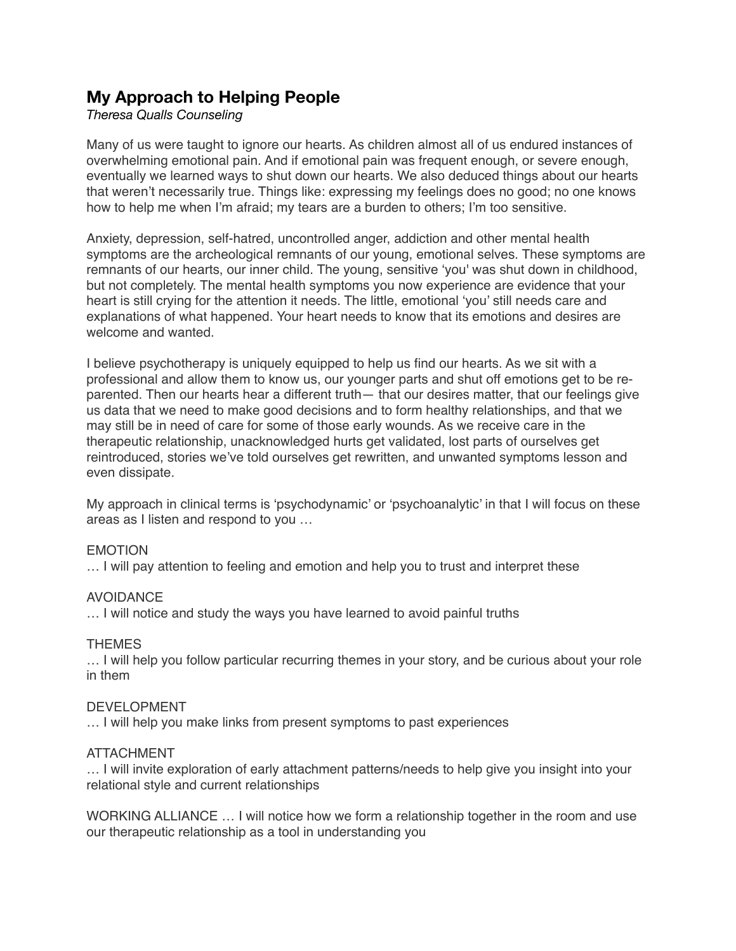# **My Approach to Helping People**

## *Theresa Qualls Counseling*

Many of us were taught to ignore our hearts. As children almost all of us endured instances of overwhelming emotional pain. And if emotional pain was frequent enough, or severe enough, eventually we learned ways to shut down our hearts. We also deduced things about our hearts that weren't necessarily true. Things like: expressing my feelings does no good; no one knows how to help me when I'm afraid; my tears are a burden to others; I'm too sensitive.

Anxiety, depression, self-hatred, uncontrolled anger, addiction and other mental health symptoms are the archeological remnants of our young, emotional selves. These symptoms are remnants of our hearts, our inner child. The young, sensitive 'you' was shut down in childhood, but not completely. The mental health symptoms you now experience are evidence that your heart is still crying for the attention it needs. The little, emotional 'you' still needs care and explanations of what happened. Your heart needs to know that its emotions and desires are welcome and wanted.

I believe psychotherapy is uniquely equipped to help us find our hearts. As we sit with a professional and allow them to know us, our younger parts and shut off emotions get to be reparented. Then our hearts hear a different truth— that our desires matter, that our feelings give us data that we need to make good decisions and to form healthy relationships, and that we may still be in need of care for some of those early wounds. As we receive care in the therapeutic relationship, unacknowledged hurts get validated, lost parts of ourselves get reintroduced, stories we've told ourselves get rewritten, and unwanted symptoms lesson and even dissipate.

My approach in clinical terms is 'psychodynamic' or 'psychoanalytic' in that I will focus on these areas as I listen and respond to you …

### EMOTION

… I will pay attention to feeling and emotion and help you to trust and interpret these

### AVOIDANCE

… I will notice and study the ways you have learned to avoid painful truths

### THEMES

… I will help you follow particular recurring themes in your story, and be curious about your role in them

### DEVELOPMENT

… I will help you make links from present symptoms to past experiences

### ATTACHMENT

… I will invite exploration of early attachment patterns/needs to help give you insight into your relational style and current relationships

WORKING ALLIANCE … I will notice how we form a relationship together in the room and use our therapeutic relationship as a tool in understanding you